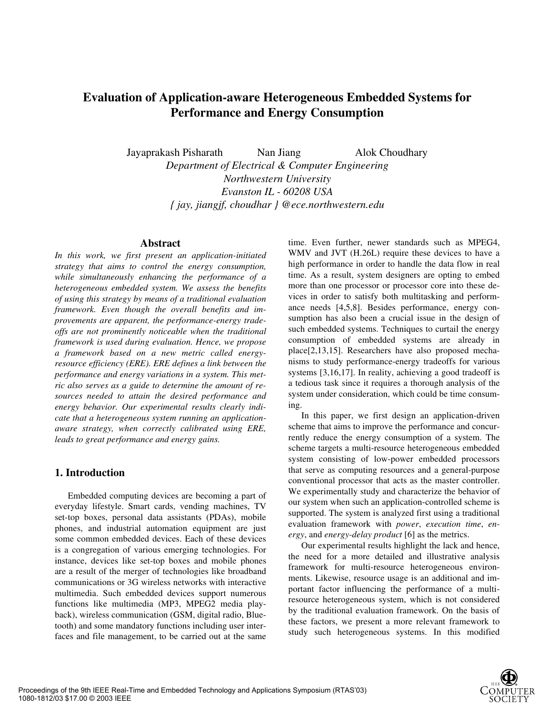# **Evaluation of Application-aware Heterogeneous Embedded Systems for Performance and Energy Consumption**

Jayaprakash Pisharath Nan Jiang Alok Choudhary *Department of Electrical & Computer Engineering Northwestern University Evanston IL - 60208 USA { jay, jiangjf, choudhar } @ece.northwestern.edu* 

#### **Abstract**

*In this work, we first present an application-initiated strategy that aims to control the energy consumption, while simultaneously enhancing the performance of a heterogeneous embedded system. We assess the benefits of using this strategy by means of a traditional evaluation framework. Even though the overall benefits and improvements are apparent, the performance-energy tradeoffs are not prominently noticeable when the traditional framework is used during evaluation. Hence, we propose a framework based on a new metric called energyresource efficiency (ERE). ERE defines a link between the performance and energy variations in a system. This metric also serves as a guide to determine the amount of resources needed to attain the desired performance and energy behavior. Our experimental results clearly indicate that a heterogeneous system running an applicationaware strategy, when correctly calibrated using ERE, leads to great performance and energy gains.* 

### **1. Introduction**

Embedded computing devices are becoming a part of everyday lifestyle. Smart cards, vending machines, TV set-top boxes, personal data assistants (PDAs), mobile phones, and industrial automation equipment are just some common embedded devices. Each of these devices is a congregation of various emerging technologies. For instance, devices like set-top boxes and mobile phones are a result of the merger of technologies like broadband communications or 3G wireless networks with interactive multimedia. Such embedded devices support numerous functions like multimedia (MP3, MPEG2 media playback), wireless communication (GSM, digital radio, Bluetooth) and some mandatory functions including user interfaces and file management, to be carried out at the same

time. Even further, newer standards such as MPEG4, WMV and JVT (H.26L) require these devices to have a high performance in order to handle the data flow in real time. As a result, system designers are opting to embed more than one processor or processor core into these devices in order to satisfy both multitasking and performance needs [4,5,8]. Besides performance, energy consumption has also been a crucial issue in the design of such embedded systems. Techniques to curtail the energy consumption of embedded systems are already in place[2,13,15]. Researchers have also proposed mechanisms to study performance-energy tradeoffs for various systems [3,16,17]. In reality, achieving a good tradeoff is a tedious task since it requires a thorough analysis of the system under consideration, which could be time consuming.

In this paper, we first design an application-driven scheme that aims to improve the performance and concurrently reduce the energy consumption of a system. The scheme targets a multi-resource heterogeneous embedded system consisting of low-power embedded processors that serve as computing resources and a general-purpose conventional processor that acts as the master controller. We experimentally study and characterize the behavior of our system when such an application-controlled scheme is supported. The system is analyzed first using a traditional evaluation framework with *power*, *execution time*, *energy*, and *energy-delay product* [6] as the metrics.

Our experimental results highlight the lack and hence, the need for a more detailed and illustrative analysis framework for multi-resource heterogeneous environments. Likewise, resource usage is an additional and important factor influencing the performance of a multiresource heterogeneous system, which is not considered by the traditional evaluation framework. On the basis of these factors, we present a more relevant framework to study such heterogeneous systems. In this modified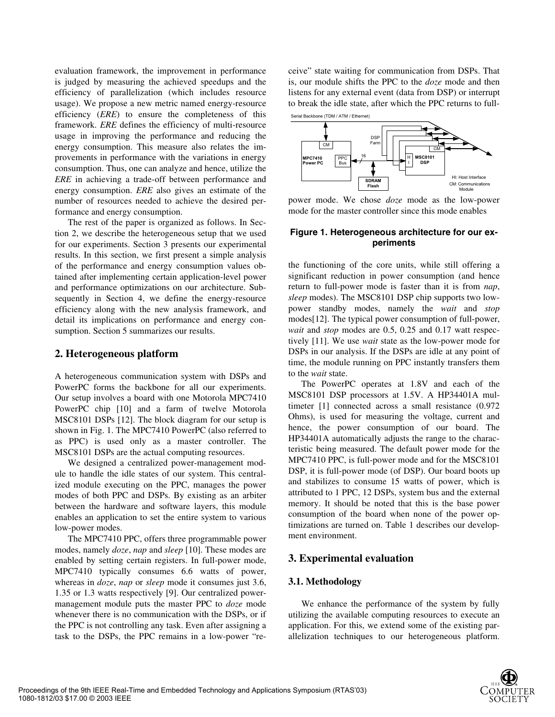evaluation framework, the improvement in performance is judged by measuring the achieved speedups and the efficiency of parallelization (which includes resource usage). We propose a new metric named energy-resource efficiency (*ERE*) to ensure the completeness of this framework. *ERE* defines the efficiency of multi-resource usage in improving the performance and reducing the energy consumption. This measure also relates the improvements in performance with the variations in energy consumption. Thus, one can analyze and hence, utilize the *ERE* in achieving a trade-off between performance and energy consumption. *ERE* also gives an estimate of the number of resources needed to achieve the desired performance and energy consumption.

The rest of the paper is organized as follows. In Section 2, we describe the heterogeneous setup that we used for our experiments. Section 3 presents our experimental results. In this section, we first present a simple analysis of the performance and energy consumption values obtained after implementing certain application-level power and performance optimizations on our architecture. Subsequently in Section 4, we define the energy-resource efficiency along with the new analysis framework, and detail its implications on performance and energy consumption. Section 5 summarizes our results.

### **2. Heterogeneous platform**

A heterogeneous communication system with DSPs and PowerPC forms the backbone for all our experiments. Our setup involves a board with one Motorola MPC7410 PowerPC chip [10] and a farm of twelve Motorola MSC8101 DSPs [12]. The block diagram for our setup is shown in Fig. 1. The MPC7410 PowerPC (also referred to as PPC) is used only as a master controller. The MSC8101 DSPs are the actual computing resources.

We designed a centralized power-management module to handle the idle states of our system. This centralized module executing on the PPC, manages the power modes of both PPC and DSPs. By existing as an arbiter between the hardware and software layers, this module enables an application to set the entire system to various low-power modes.

The MPC7410 PPC, offers three programmable power modes, namely *doze*, *nap* and *sleep* [10]. These modes are enabled by setting certain registers. In full-power mode, MPC7410 typically consumes 6.6 watts of power, whereas in *doze*, *nap* or *sleep* mode it consumes just 3.6, 1.35 or 1.3 watts respectively [9]. Our centralized powermanagement module puts the master PPC to *doze* mode whenever there is no communication with the DSPs, or if the PPC is not controlling any task. Even after assigning a task to the DSPs, the PPC remains in a low-power "receive" state waiting for communication from DSPs. That is, our module shifts the PPC to the *doze* mode and then listens for any external event (data from DSP) or interrupt to break the idle state, after which the PPC returns to full-



power mode. We chose *doze* mode as the low-power mode for the master controller since this mode enables

### **Figure 1. Heterogeneous architecture for our experiments**

the functioning of the core units, while still offering a significant reduction in power consumption (and hence return to full-power mode is faster than it is from *nap*, *sleep* modes). The MSC8101 DSP chip supports two lowpower standby modes, namely the *wait* and *stop* modes[12]. The typical power consumption of full-power, *wait* and *stop* modes are 0.5, 0.25 and 0.17 watt respectively [11]. We use *wait* state as the low-power mode for DSPs in our analysis. If the DSPs are idle at any point of time, the module running on PPC instantly transfers them to the *wait* state.

The PowerPC operates at 1.8V and each of the MSC8101 DSP processors at 1.5V. A HP34401A multimeter [1] connected across a small resistance (0.972 Ohms), is used for measuring the voltage, current and hence, the power consumption of our board. The HP34401A automatically adjusts the range to the characteristic being measured. The default power mode for the MPC7410 PPC, is full-power mode and for the MSC8101 DSP, it is full-power mode (of DSP). Our board boots up and stabilizes to consume 15 watts of power, which is attributed to 1 PPC, 12 DSPs, system bus and the external memory. It should be noted that this is the base power consumption of the board when none of the power optimizations are turned on. Table 1 describes our development environment.

### **3. Experimental evaluation**

### **3.1. Methodology**

We enhance the performance of the system by fully utilizing the available computing resources to execute an application. For this, we extend some of the existing parallelization techniques to our heterogeneous platform.

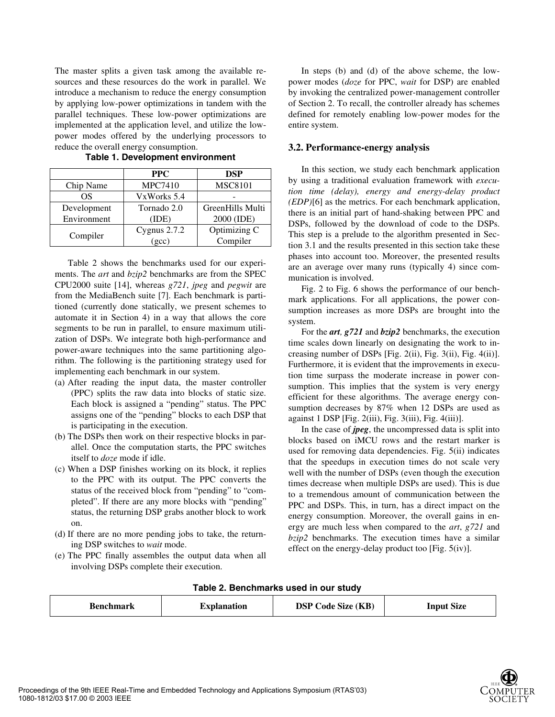The master splits a given task among the available resources and these resources do the work in parallel. We introduce a mechanism to reduce the energy consumption by applying low-power optimizations in tandem with the parallel techniques. These low-power optimizations are implemented at the application level, and utilize the lowpower modes offered by the underlying processors to reduce the overall energy consumption.

|             | <b>PPC</b>     | <b>DSP</b>       |
|-------------|----------------|------------------|
| Chip Name   | <b>MPC7410</b> | <b>MSC8101</b>   |
| ΟS          | VxWorks 5.4    |                  |
| Development | Tornado 2.0    | GreenHills Multi |
| Environment | (IDE)          | 2000 (IDE)       |
|             | Cygnus $2.7.2$ | Optimizing C     |
| Compiler    | (gcc)          | Compiler         |

**Table 1. Development environment** 

Table 2 shows the benchmarks used for our experiments. The *art* and *bzip2* benchmarks are from the SPEC CPU2000 suite [14], whereas *g721*, *jpeg* and *pegwit* are from the MediaBench suite [7]. Each benchmark is partitioned (currently done statically, we present schemes to automate it in Section 4) in a way that allows the core segments to be run in parallel, to ensure maximum utilization of DSPs. We integrate both high-performance and power-aware techniques into the same partitioning algorithm. The following is the partitioning strategy used for implementing each benchmark in our system.

- (a) After reading the input data, the master controller (PPC) splits the raw data into blocks of static size. Each block is assigned a "pending" status. The PPC assigns one of the "pending" blocks to each DSP that is participating in the execution.
- (b) The DSPs then work on their respective blocks in parallel. Once the computation starts, the PPC switches itself to *doze* mode if idle.
- (c) When a DSP finishes working on its block, it replies to the PPC with its output. The PPC converts the status of the received block from "pending" to "completed". If there are any more blocks with "pending" status, the returning DSP grabs another block to work on.
- (d) If there are no more pending jobs to take, the returning DSP switches to *wait* mode.
- (e) The PPC finally assembles the output data when all involving DSPs complete their execution.

In steps (b) and (d) of the above scheme, the lowpower modes (*doze* for PPC, *wait* for DSP) are enabled by invoking the centralized power-management controller of Section 2. To recall, the controller already has schemes defined for remotely enabling low-power modes for the entire system.

#### **3.2. Performance-energy analysis**

In this section, we study each benchmark application by using a traditional evaluation framework with *execution time (delay), energy and energy-delay product (EDP)*[6] as the metrics. For each benchmark application, there is an initial part of hand-shaking between PPC and DSPs, followed by the download of code to the DSPs. This step is a prelude to the algorithm presented in Section 3.1 and the results presented in this section take these phases into account too. Moreover, the presented results are an average over many runs (typically 4) since communication is involved.

Fig. 2 to Fig. 6 shows the performance of our benchmark applications. For all applications, the power consumption increases as more DSPs are brought into the system.

For the *art, g721* and *bzip2* benchmarks, the execution time scales down linearly on designating the work to increasing number of DSPs [Fig. 2(ii), Fig. 3(ii), Fig. 4(ii)]. Furthermore, it is evident that the improvements in execution time surpass the moderate increase in power consumption. This implies that the system is very energy efficient for these algorithms. The average energy consumption decreases by 87% when 12 DSPs are used as against 1 DSP [Fig. 2(iii), Fig. 3(iii), Fig. 4(iii)].

In the case of *jpeg*, the uncompressed data is split into blocks based on iMCU rows and the restart marker is used for removing data dependencies. Fig. 5(ii) indicates that the speedups in execution times do not scale very well with the number of DSPs (even though the execution times decrease when multiple DSPs are used). This is due to a tremendous amount of communication between the PPC and DSPs. This, in turn, has a direct impact on the energy consumption. Moreover, the overall gains in energy are much less when compared to the *art*, *g721* and *bzip2* benchmarks. The execution times have a similar effect on the energy-delay product too [Fig. 5(iv)].

| Table 2. Benchmarks used in our study |  |
|---------------------------------------|--|
|---------------------------------------|--|

| Benchmark | <b>Explanation</b> | <b>DSP Code Size (KB)</b> | <b>Input Size</b> |
|-----------|--------------------|---------------------------|-------------------|
|-----------|--------------------|---------------------------|-------------------|

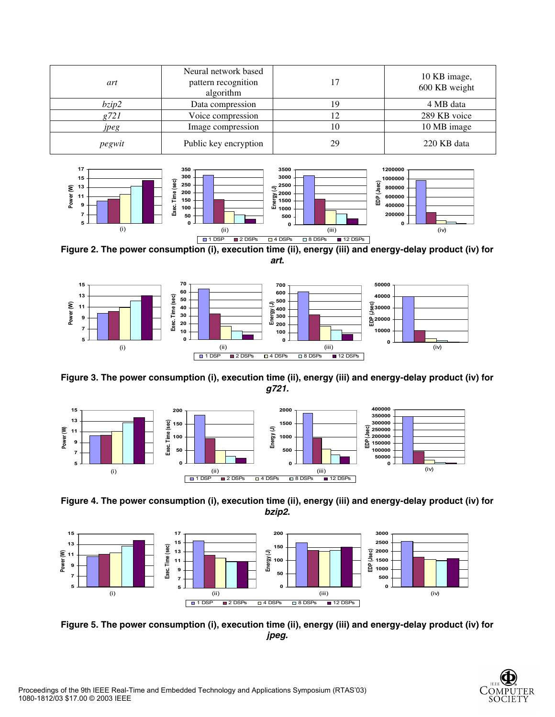| art      | Neural network based<br>pattern recognition<br>algorithm | 17 | 10 KB image,<br>600 KB weight |
|----------|----------------------------------------------------------|----|-------------------------------|
| $b$ zip2 | Data compression                                         | ۱9 | 4 MB data                     |
| g721     | Voice compression                                        |    | 289 KB voice                  |
| ipeg     | Image compression                                        | 10 | 10 MB image                   |
| pegwit   | Public key encryption                                    | 29 | 220 KB data                   |



**Figure 2. The power consumption (i), execution time (ii), energy (iii) and energy-delay product (iv) for**  *art***.**



**Figure 3. The power consumption (i), execution time (ii), energy (iii) and energy-delay product (iv) for**  *g721.*







**Figure 5. The power consumption (i), execution time (ii), energy (iii) and energy-delay product (iv) for**  *jpeg.*

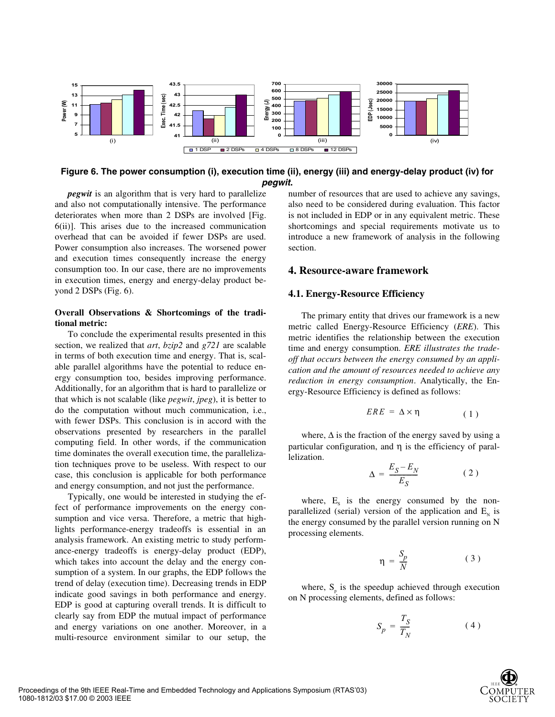

#### **Figure 6. The power consumption (i), execution time (ii), energy (iii) and energy-delay product (iv) for**  *pegwit***.**

*pegwit* is an algorithm that is very hard to parallelize and also not computationally intensive. The performance deteriorates when more than 2 DSPs are involved [Fig. 6(ii)]. This arises due to the increased communication overhead that can be avoided if fewer DSPs are used. Power consumption also increases. The worsened power and execution times consequently increase the energy consumption too. In our case, there are no improvements in execution times, energy and energy-delay product beyond 2 DSPs (Fig. 6).

#### **Overall Observations & Shortcomings of the traditional metric:**

To conclude the experimental results presented in this section, we realized that *art*, *bzip2* and *g721* are scalable in terms of both execution time and energy. That is, scalable parallel algorithms have the potential to reduce energy consumption too, besides improving performance. Additionally, for an algorithm that is hard to parallelize or that which is not scalable (like *pegwit*, *jpeg*), it is better to do the computation without much communication, i.e., with fewer DSPs. This conclusion is in accord with the observations presented by researchers in the parallel computing field. In other words, if the communication time dominates the overall execution time, the parallelization techniques prove to be useless. With respect to our case, this conclusion is applicable for both performance and energy consumption, and not just the performance.

Typically, one would be interested in studying the effect of performance improvements on the energy consumption and vice versa. Therefore, a metric that highlights performance-energy tradeoffs is essential in an analysis framework. An existing metric to study performance-energy tradeoffs is energy-delay product (EDP), which takes into account the delay and the energy consumption of a system. In our graphs, the EDP follows the trend of delay (execution time). Decreasing trends in EDP indicate good savings in both performance and energy. EDP is good at capturing overall trends. It is difficult to clearly say from EDP the mutual impact of performance and energy variations on one another. Moreover, in a multi-resource environment similar to our setup, the number of resources that are used to achieve any savings, also need to be considered during evaluation. This factor is not included in EDP or in any equivalent metric. These shortcomings and special requirements motivate us to introduce a new framework of analysis in the following section.

#### **4. Resource-aware framework**

#### **4.1. Energy-Resource Efficiency**

The primary entity that drives our framework is a new metric called Energy-Resource Efficiency (*ERE*). This metric identifies the relationship between the execution time and energy consumption. *ERE illustrates the tradeoff that occurs between the energy consumed by an application and the amount of resources needed to achieve any reduction in energy consumption*. Analytically, the Energy-Resource Efficiency is defined as follows:

$$
ERE = \Delta \times \eta \tag{1}
$$

where,  $\Delta$  is the fraction of the energy saved by using a particular configuration, and η is the efficiency of parallelization.

$$
\Delta = \frac{E_S - E_N}{E_S} \tag{2}
$$

where,  $E_s$  is the energy consumed by the nonparallelized (serial) version of the application and  $E<sub>N</sub>$  is the energy consumed by the parallel version running on N processing elements.

$$
\eta = \frac{S_p}{N} \tag{3}
$$

where,  $S_p$  is the speedup achieved through execution on N processing elements, defined as follows:

$$
S_p = \frac{T_S}{T_N} \tag{4}
$$

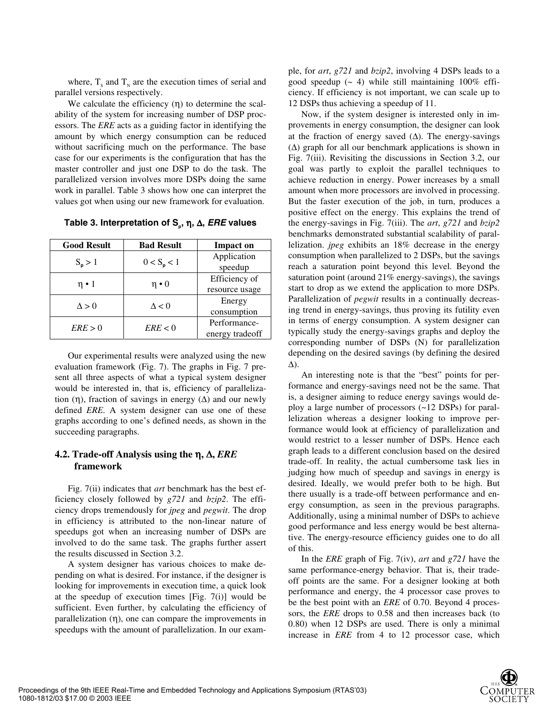where,  $T_s$  and  $T_N$  are the execution times of serial and parallel versions respectively.

We calculate the efficiency  $(\eta)$  to determine the scalability of the system for increasing number of DSP processors. The *ERE* acts as a guiding factor in identifying the amount by which energy consumption can be reduced without sacrificing much on the performance. The base case for our experiments is the configuration that has the master controller and just one DSP to do the task. The parallelized version involves more DSPs doing the same work in parallel. Table 3 shows how one can interpret the values got when using our new framework for evaluation.

**Table 3. Interpretation of S<sub>ρ</sub>, η, Δ,** *ERE* **values** 

| <b>Good Result</b> | <b>Bad Result</b> | <b>Impact on</b>                |
|--------------------|-------------------|---------------------------------|
| $S_p > 1$          | $0 < S_p < 1$     | Application<br>speedup          |
| $\eta \cdot 1$     | $\eta \cdot 0$    | Efficiency of<br>resource usage |
| $\Delta > 0$       | $\Delta$ < 0      | Energy<br>consumption           |
| ERE > 0            | ERE < 0           | Performance-<br>energy tradeoff |

Our experimental results were analyzed using the new evaluation framework (Fig. 7). The graphs in Fig. 7 present all three aspects of what a typical system designer would be interested in, that is, efficiency of parallelization (η), fraction of savings in energy  $(\Delta)$  and our newly defined *ERE*. A system designer can use one of these graphs according to one's defined needs, as shown in the succeeding paragraphs.

## **4.2. Trade-off Analysis using the** η**,** ∆**,** *ERE* **framework**

Fig. 7(ii) indicates that *art* benchmark has the best efficiency closely followed by *g721* and *bzip2*. The efficiency drops tremendously for *jpeg* and *pegwit*. The drop in efficiency is attributed to the non-linear nature of speedups got when an increasing number of DSPs are involved to do the same task. The graphs further assert the results discussed in Section 3.2.

A system designer has various choices to make depending on what is desired. For instance, if the designer is looking for improvements in execution time, a quick look at the speedup of execution times  $[Fig, 7(i)]$  would be sufficient. Even further, by calculating the efficiency of parallelization (η), one can compare the improvements in speedups with the amount of parallelization. In our example, for *art*, *g721* and *bzip2*, involving 4 DSPs leads to a good speedup  $($   $\sim$  4) while still maintaining 100% efficiency. If efficiency is not important, we can scale up to 12 DSPs thus achieving a speedup of 11.

Now, if the system designer is interested only in improvements in energy consumption, the designer can look at the fraction of energy saved  $(∆)$ . The energy-savings  $(\Delta)$  graph for all our benchmark applications is shown in Fig. 7(iii). Revisiting the discussions in Section 3.2, our goal was partly to exploit the parallel techniques to achieve reduction in energy. Power increases by a small amount when more processors are involved in processing. But the faster execution of the job, in turn, produces a positive effect on the energy. This explains the trend of the energy-savings in Fig. 7(iii). The *art*, *g721* and *bzip2* benchmarks demonstrated substantial scalability of parallelization. *jpeg* exhibits an 18% decrease in the energy consumption when parallelized to 2 DSPs, but the savings reach a saturation point beyond this level. Beyond the saturation point (around 21% energy-savings), the savings start to drop as we extend the application to more DSPs. Parallelization of *pegwit* results in a continually decreasing trend in energy-savings, thus proving its futility even in terms of energy consumption. A system designer can typically study the energy-savings graphs and deploy the corresponding number of DSPs (N) for parallelization depending on the desired savings (by defining the desired ∆).

An interesting note is that the "best" points for performance and energy-savings need not be the same. That is, a designer aiming to reduce energy savings would deploy a large number of processors (~12 DSPs) for parallelization whereas a designer looking to improve performance would look at efficiency of parallelization and would restrict to a lesser number of DSPs. Hence each graph leads to a different conclusion based on the desired trade-off. In reality, the actual cumbersome task lies in judging how much of speedup and savings in energy is desired. Ideally, we would prefer both to be high. But there usually is a trade-off between performance and energy consumption, as seen in the previous paragraphs. Additionally, using a minimal number of DSPs to achieve good performance and less energy would be best alternative. The energy-resource efficiency guides one to do all of this.

In the *ERE* graph of Fig. 7(iv), *art* and *g721* have the same performance-energy behavior. That is, their tradeoff points are the same. For a designer looking at both performance and energy, the 4 processor case proves to be the best point with an *ERE* of 0.70. Beyond 4 processors, the *ERE* drops to 0.58 and then increases back (to 0.80) when 12 DSPs are used. There is only a minimal increase in *ERE* from 4 to 12 processor case, which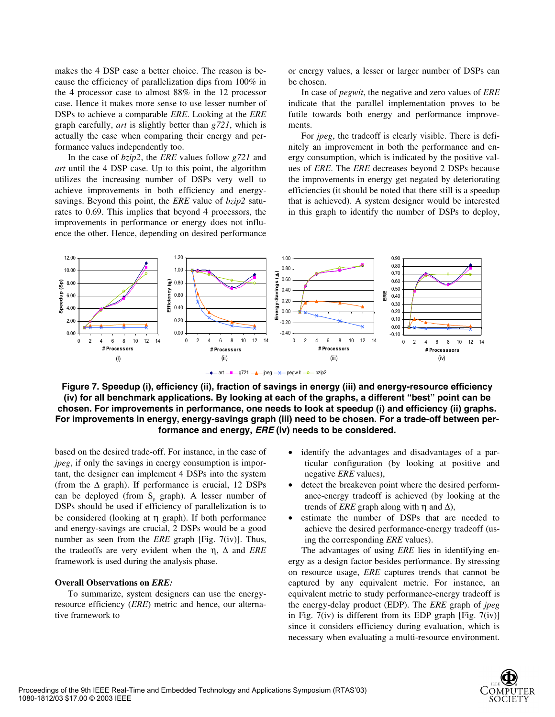makes the 4 DSP case a better choice. The reason is because the efficiency of parallelization dips from 100% in the 4 processor case to almost 88% in the 12 processor case. Hence it makes more sense to use lesser number of DSPs to achieve a comparable *ERE*. Looking at the *ERE* graph carefully, *art* is slightly better than *g721*, which is actually the case when comparing their energy and performance values independently too.

In the case of *bzip2*, the *ERE* values follow *g721* and *art* until the 4 DSP case. Up to this point, the algorithm utilizes the increasing number of DSPs very well to achieve improvements in both efficiency and energysavings. Beyond this point, the *ERE* value of *bzip2* saturates to 0.69. This implies that beyond 4 processors, the improvements in performance or energy does not influence the other. Hence, depending on desired performance

or energy values, a lesser or larger number of DSPs can be chosen.

In case of *pegwit*, the negative and zero values of *ERE* indicate that the parallel implementation proves to be futile towards both energy and performance improvements.

For *jpeg*, the tradeoff is clearly visible. There is definitely an improvement in both the performance and energy consumption, which is indicated by the positive values of *ERE*. The *ERE* decreases beyond 2 DSPs because the improvements in energy get negated by deteriorating efficiencies (it should be noted that there still is a speedup that is achieved). A system designer would be interested in this graph to identify the number of DSPs to deploy,



**Figure 7. Speedup (i), efficiency (ii), fraction of savings in energy (iii) and energy-resource efficiency (iv) for all benchmark applications. By looking at each of the graphs, a different "best" point can be chosen. For improvements in performance, one needs to look at speedup (i) and efficiency (ii) graphs. For improvements in energy, energy-savings graph (iii) need to be chosen. For a trade-off between performance and energy,** *ERE* **(iv) needs to be considered.** 

based on the desired trade-off. For instance, in the case of *jpeg*, if only the savings in energy consumption is important, the designer can implement 4 DSPs into the system (from the  $\Delta$  graph). If performance is crucial, 12 DSPs can be deployed (from  $S_p$  graph). A lesser number of DSPs should be used if efficiency of parallelization is to be considered (looking at η graph). If both performance and energy-savings are crucial, 2 DSPs would be a good number as seen from the *ERE* graph [Fig. 7(iv)]. Thus, the tradeoffs are very evident when the η, ∆ and *ERE* framework is used during the analysis phase.

#### **Overall Observations on** *ERE:*

To summarize, system designers can use the energyresource efficiency (*ERE*) metric and hence, our alternative framework to

- identify the advantages and disadvantages of a particular configuration (by looking at positive and negative *ERE* values),
- detect the breakeven point where the desired performance-energy tradeoff is achieved (by looking at the trends of *ERE* graph along with  $\eta$  and  $\Delta$ ),
- estimate the number of DSPs that are needed to achieve the desired performance-energy tradeoff (using the corresponding *ERE* values).

The advantages of using *ERE* lies in identifying energy as a design factor besides performance. By stressing on resource usage, *ERE* captures trends that cannot be captured by any equivalent metric. For instance, an equivalent metric to study performance-energy tradeoff is the energy-delay product (EDP). The *ERE* graph of *jpeg* in Fig.  $7(iv)$  is different from its EDP graph [Fig.  $7(iv)$ ] since it considers efficiency during evaluation, which is necessary when evaluating a multi-resource environment.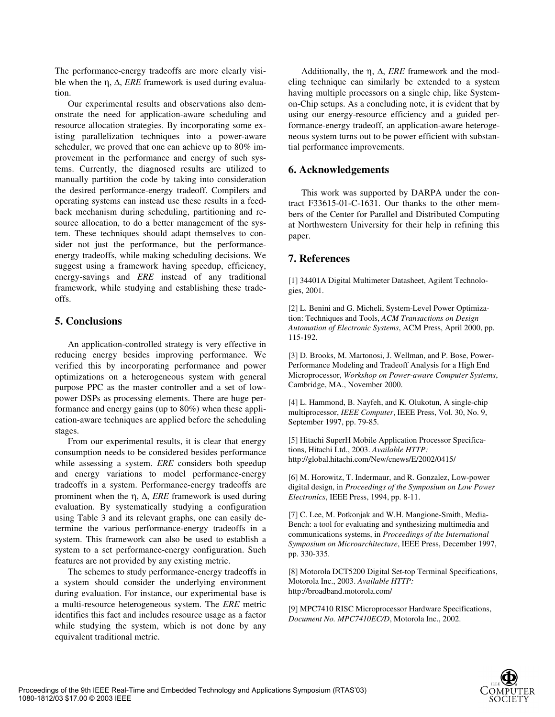The performance-energy tradeoffs are more clearly visible when the η, ∆, *ERE* framework is used during evaluation.

Our experimental results and observations also demonstrate the need for application-aware scheduling and resource allocation strategies. By incorporating some existing parallelization techniques into a power-aware scheduler, we proved that one can achieve up to 80% improvement in the performance and energy of such systems. Currently, the diagnosed results are utilized to manually partition the code by taking into consideration the desired performance-energy tradeoff. Compilers and operating systems can instead use these results in a feedback mechanism during scheduling, partitioning and resource allocation, to do a better management of the system. These techniques should adapt themselves to consider not just the performance, but the performanceenergy tradeoffs, while making scheduling decisions. We suggest using a framework having speedup, efficiency, energy-savings and *ERE* instead of any traditional framework, while studying and establishing these tradeoffs.

### **5. Conclusions**

An application-controlled strategy is very effective in reducing energy besides improving performance. We verified this by incorporating performance and power optimizations on a heterogeneous system with general purpose PPC as the master controller and a set of lowpower DSPs as processing elements. There are huge performance and energy gains (up to 80%) when these application-aware techniques are applied before the scheduling stages.

From our experimental results, it is clear that energy consumption needs to be considered besides performance while assessing a system. *ERE* considers both speedup and energy variations to model performance-energy tradeoffs in a system. Performance-energy tradeoffs are prominent when the η, ∆, *ERE* framework is used during evaluation. By systematically studying a configuration using Table 3 and its relevant graphs, one can easily determine the various performance-energy tradeoffs in a system. This framework can also be used to establish a system to a set performance-energy configuration. Such features are not provided by any existing metric.

The schemes to study performance-energy tradeoffs in a system should consider the underlying environment during evaluation. For instance, our experimental base is a multi-resource heterogeneous system. The *ERE* metric identifies this fact and includes resource usage as a factor while studying the system, which is not done by any equivalent traditional metric.

Additionally, the η, ∆, *ERE* framework and the modeling technique can similarly be extended to a system having multiple processors on a single chip, like Systemon-Chip setups. As a concluding note, it is evident that by using our energy-resource efficiency and a guided performance-energy tradeoff, an application-aware heterogeneous system turns out to be power efficient with substantial performance improvements.

# **6. Acknowledgements**

This work was supported by DARPA under the contract F33615-01-C-1631. Our thanks to the other members of the Center for Parallel and Distributed Computing at Northwestern University for their help in refining this paper.

# **7. References**

[1] 34401A Digital Multimeter Datasheet, Agilent Technologies, 2001.

[2] L. Benini and G. Micheli, System-Level Power Optimization: Techniques and Tools, *ACM Transactions on Design Automation of Electronic Systems*, ACM Press, April 2000, pp. 115-192.

[3] D. Brooks, M. Martonosi, J. Wellman, and P. Bose, Power-Performance Modeling and Tradeoff Analysis for a High End Microprocessor, *Workshop on Power-aware Computer Systems*, Cambridge, MA., November 2000.

[4] L. Hammond, B. Nayfeh, and K. Olukotun, A single-chip multiprocessor, *IEEE Computer*, IEEE Press, Vol. 30, No. 9, September 1997, pp. 79-85.

[5] Hitachi SuperH Mobile Application Processor Specifications, Hitachi Ltd., 2003. *Available HTTP:* http://global.hitachi.com/New/cnews/E/2002/0415/

[6] M. Horowitz, T. Indermaur, and R. Gonzalez, Low-power digital design, in *Proceedings of the Symposium on Low Power Electronics*, IEEE Press, 1994, pp. 8-11.

[7] C. Lee, M. Potkonjak and W.H. Mangione-Smith, Media-Bench: a tool for evaluating and synthesizing multimedia and communications systems, in *Proceedings of the International Symposium on Microarchitecture*, IEEE Press, December 1997, pp. 330-335.

[8] Motorola DCT5200 Digital Set-top Terminal Specifications, Motorola Inc., 2003. *Available HTTP:* http://broadband.motorola.com/

[9] MPC7410 RISC Microprocessor Hardware Specifications, *Document No. MPC7410EC/D*, Motorola Inc., 2002.